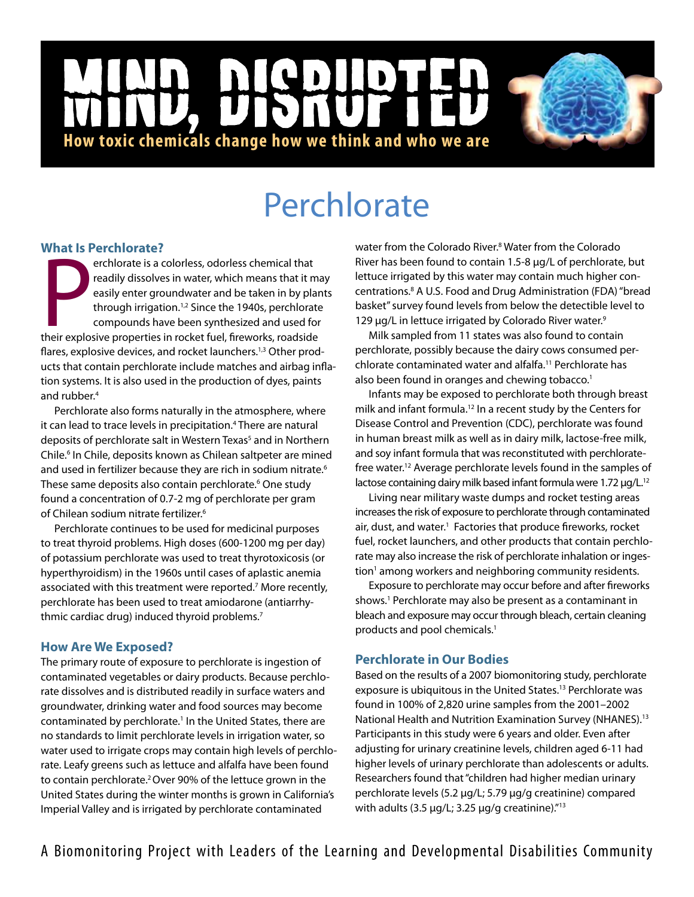# NICD  $\mathbf{D}$ |<br>|<br>| **How toxic chemicals change how we think and who we are**

# **Perchlorate**

# **What Is Perchlorate?**

**EXPRESS PERIMOTALE SERVICES**<br>
Perchlorate is a colorless, odorless chemical that<br>
readily dissolves in water, which means that it materially enter groundwater and be taken in by plan<br>
through irrigation.<sup>1,2</sup> Since the 19 erchlorate is a colorless, odorless chemical that readily dissolves in water, which means that it may easily enter groundwater and be taken in by plants through irrigation.<sup>1,2</sup> Since the 1940s, perchlorate compounds have been synthesized and used for flares, explosive devices, and rocket launchers.<sup>1,3</sup> Other products that contain perchlorate include matches and airbag inflation systems. It is also used in the production of dyes, paints and rubber.<sup>4</sup>

Perchlorate also forms naturally in the atmosphere, where it can lead to trace levels in precipitation.<sup>4</sup> There are natural deposits of perchlorate salt in Western Texas<sup>5</sup> and in Northern Chile.<sup>6</sup> In Chile, deposits known as Chilean saltpeter are mined and used in fertilizer because they are rich in sodium nitrate.<sup>6</sup> These same deposits also contain perchlorate.<sup>6</sup> One study found a concentration of 0.7-2 mg of perchlorate per gram of Chilean sodium nitrate fertilizer.6

Perchlorate continues to be used for medicinal purposes to treat thyroid problems. High doses (600-1200 mg per day) of potassium perchlorate was used to treat thyrotoxicosis (or hyperthyroidism) in the 1960s until cases of aplastic anemia associated with this treatment were reported.<sup>7</sup> More recently, perchlorate has been used to treat amiodarone (antiarrhythmic cardiac drug) induced thyroid problems.<sup>7</sup>

# **How Are We Exposed?**

The primary route of exposure to perchlorate is ingestion of contaminated vegetables or dairy products. Because perchlorate dissolves and is distributed readily in surface waters and groundwater, drinking water and food sources may become contaminated by perchlorate.<sup>1</sup> In the United States, there are no standards to limit perchlorate levels in irrigation water, so water used to irrigate crops may contain high levels of perchlorate. Leafy greens such as lettuce and alfalfa have been found to contain perchlorate.2 Over 90% of the lettuce grown in the United States during the winter months is grown in California's Imperial Valley and is irrigated by perchlorate contaminated

water from the Colorado River.<sup>8</sup> Water from the Colorado River has been found to contain 1.5-8 µg/L of perchlorate, but lettuce irrigated by this water may contain much higher concentrations.8 A U.S. Food and Drug Administration (FDA) "bread basket" survey found levels from below the detectible level to 129 µg/L in lettuce irrigated by Colorado River water.<sup>9</sup>

Milk sampled from 11 states was also found to contain perchlorate, possibly because the dairy cows consumed perchlorate contaminated water and alfalfa.11 Perchlorate has also been found in oranges and chewing tobacco.<sup>1</sup>

Infants may be exposed to perchlorate both through breast milk and infant formula.12 In a recent study by the Centers for Disease Control and Prevention (CDC), perchlorate was found in human breast milk as well as in dairy milk, lactose-free milk, and soy infant formula that was reconstituted with perchloratefree water.<sup>12</sup> Average perchlorate levels found in the samples of lactose containing dairy milk based infant formula were 1.72 µg/L.<sup>12</sup>

Living near military waste dumps and rocket testing areas increases the risk of exposure to perchlorate through contaminated air, dust, and water.<sup>1</sup> Factories that produce fireworks, rocket fuel, rocket launchers, and other products that contain perchlorate may also increase the risk of perchlorate inhalation or ingestion<sup>1</sup> among workers and neighboring community residents.

Exposure to perchlorate may occur before and after fireworks shows.<sup>1</sup> Perchlorate may also be present as a contaminant in bleach and exposure may occur through bleach, certain cleaning products and pool chemicals.<sup>1</sup>

# **Perchlorate in Our Bodies**

Based on the results of a 2007 biomonitoring study, perchlorate exposure is ubiquitous in the United States.<sup>13</sup> Perchlorate was found in 100% of 2,820 urine samples from the 2001–2002 National Health and Nutrition Examination Survey (NHANES).13 Participants in this study were 6 years and older. Even after adjusting for urinary creatinine levels, children aged 6-11 had higher levels of urinary perchlorate than adolescents or adults. Researchers found that "children had higher median urinary perchlorate levels (5.2 µg/L; 5.79 µg/g creatinine) compared with adults (3.5  $\mu$ g/L; 3.25  $\mu$ g/g creatinine)."<sup>13</sup>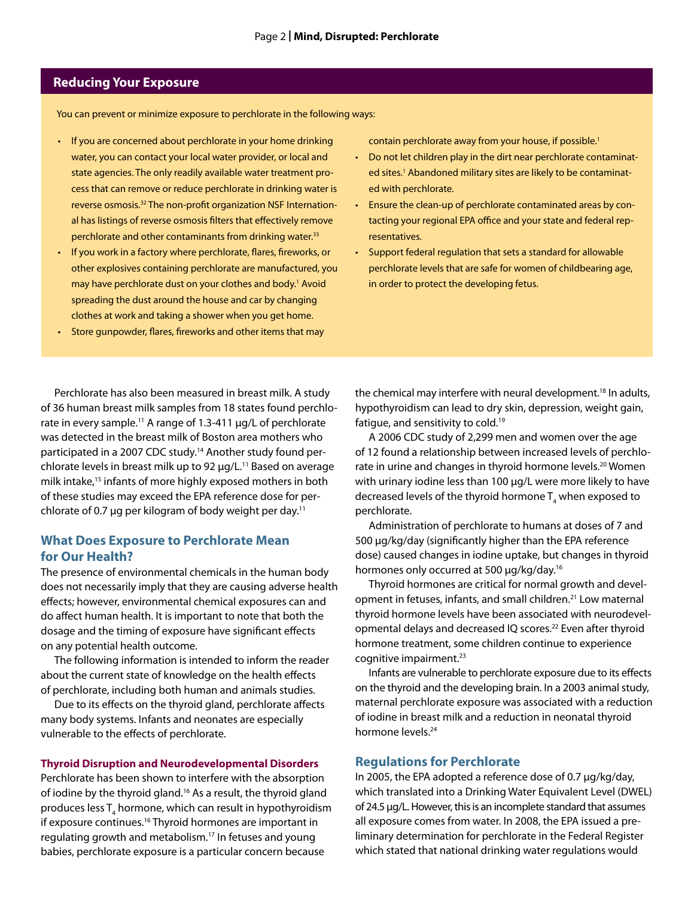## **Reducing Your Exposure**

You can prevent or minimize exposure to perchlorate in the following ways:

- If you are concerned about perchlorate in your home drinking water, you can contact your local water provider, or local and state agencies. The only readily available water treatment process that can remove or reduce perchlorate in drinking water is reverse osmosis.32 The non-profit organization NSF International has listings of reverse osmosis filters that effectively remove perchlorate and other contaminants from drinking water.<sup>33</sup>
- If you work in a factory where perchlorate, flares, fireworks, or other explosives containing perchlorate are manufactured, you may have perchlorate dust on your clothes and body.<sup>1</sup> Avoid spreading the dust around the house and car by changing clothes at work and taking a shower when you get home.
- Store gunpowder, flares, fireworks and other items that may

contain perchlorate away from your house, if possible.<sup>1</sup>

- Do not let children play in the dirt near perchlorate contaminated sites.<sup>1</sup> Abandoned military sites are likely to be contaminated with perchlorate.
- Ensure the clean-up of perchlorate contaminated areas by contacting your regional EPA office and your state and federal representatives.
- • Support federal regulation that sets a standard for allowable perchlorate levels that are safe for women of childbearing age, in order to protect the developing fetus.

Perchlorate has also been measured in breast milk. A study of 36 human breast milk samples from 18 states found perchlorate in every sample.<sup>11</sup> A range of 1.3-411 µg/L of perchlorate was detected in the breast milk of Boston area mothers who participated in a 2007 CDC study.14 Another study found perchlorate levels in breast milk up to 92 µg/L.<sup>11</sup> Based on average milk intake,15 infants of more highly exposed mothers in both of these studies may exceed the EPA reference dose for perchlorate of 0.7  $\mu$ g per kilogram of body weight per day.<sup>11</sup>

### **What Does Exposure to Perchlorate Mean for Our Health?**

The presence of environmental chemicals in the human body does not necessarily imply that they are causing adverse health effects; however, environmental chemical exposures can and do affect human health. It is important to note that both the dosage and the timing of exposure have significant effects on any potential health outcome.

The following information is intended to inform the reader about the current state of knowledge on the health effects of perchlorate, including both human and animals studies.

Due to its effects on the thyroid gland, perchlorate affects many body systems. Infants and neonates are especially vulnerable to the effects of perchlorate.

#### **Thyroid Disruption and Neurodevelopmental Disorders**

Perchlorate has been shown to interfere with the absorption of iodine by the thyroid gland.<sup>16</sup> As a result, the thyroid gland produces less  ${\sf T}_4$  hormone, which can result in hypothyroidism if exposure continues.16 Thyroid hormones are important in regulating growth and metabolism.17 In fetuses and young babies, perchlorate exposure is a particular concern because

the chemical may interfere with neural development.<sup>18</sup> In adults, hypothyroidism can lead to dry skin, depression, weight gain, fatigue, and sensitivity to cold.19

A 2006 CDC study of 2,299 men and women over the age of 12 found a relationship between increased levels of perchlorate in urine and changes in thyroid hormone levels.<sup>20</sup> Women with urinary iodine less than 100 µg/L were more likely to have decreased levels of the thyroid hormone  $\mathsf{T}_4$  when exposed to perchlorate.

Administration of perchlorate to humans at doses of 7 and 500 µg/kg/day (significantly higher than the EPA reference dose) caused changes in iodine uptake, but changes in thyroid hormones only occurred at 500 µg/kg/day.<sup>16</sup>

Thyroid hormones are critical for normal growth and development in fetuses, infants, and small children.<sup>21</sup> Low maternal thyroid hormone levels have been associated with neurodevelopmental delays and decreased IQ scores.<sup>22</sup> Even after thyroid hormone treatment, some children continue to experience cognitive impairment.<sup>23</sup>

Infants are vulnerable to perchlorate exposure due to its effects on the thyroid and the developing brain. In a 2003 animal study, maternal perchlorate exposure was associated with a reduction of iodine in breast milk and a reduction in neonatal thyroid hormone levels.24

#### **Regulations for Perchlorate**

In 2005, the EPA adopted a reference dose of 0.7 µg/kg/day, which translated into a Drinking Water Equivalent Level (DWEL) of 24.5 µg/L. However, this is an incomplete standard that assumes all exposure comes from water. In 2008, the EPA issued a preliminary determination for perchlorate in the Federal Register which stated that national drinking water regulations would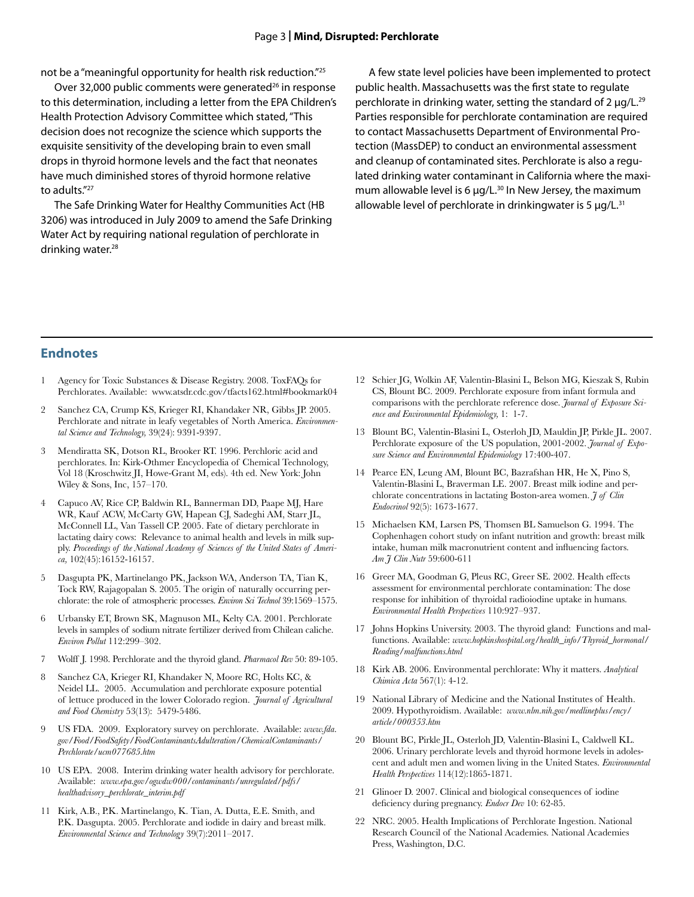#### Page 3 **| Mind, Disrupted: Perchlorate**

not be a "meaningful opportunity for health risk reduction."25

Over 32,000 public comments were generated<sup>26</sup> in response to this determination, including a letter from the EPA Children's Health Protection Advisory Committee which stated, "This decision does not recognize the science which supports the exquisite sensitivity of the developing brain to even small drops in thyroid hormone levels and the fact that neonates have much diminished stores of thyroid hormone relative to adults."27

The Safe Drinking Water for Healthy Communities Act (HB 3206) was introduced in July 2009 to amend the Safe Drinking Water Act by requiring national regulation of perchlorate in drinking water.<sup>28</sup>

A few state level policies have been implemented to protect public health. Massachusetts was the first state to regulate perchlorate in drinking water, setting the standard of  $2 \mu q/L^{29}$ Parties responsible for perchlorate contamination are required to contact Massachusetts Department of Environmental Protection (MassDEP) to conduct an environmental assessment and cleanup of contaminated sites. Perchlorate is also a regulated drinking water contaminant in California where the maximum allowable level is 6  $\mu$ g/L.<sup>30</sup> In New Jersey, the maximum allowable level of perchlorate in drinkingwater is 5  $\mu$ g/L.<sup>31</sup>

#### **Endnotes**

- 1 Agency for Toxic Substances & Disease Registry. 2008. ToxFAQs for Perchlorates. Available: www.atsdr.cdc.gov/tfacts162.html#bookmark04
- 2 Sanchez CA, Crump KS, Krieger RI, Khandaker NR, Gibbs JP. 2005. Perchlorate and nitrate in leafy vegetables of North America. *Environmental Science and Technology,* 39(24): 9391-9397.
- 3 Mendiratta SK, Dotson RL, Brooker RT. 1996. Perchloric acid and perchlorates. In: Kirk-Othmer Encyclopedia of Chemical Technology, Vol 18 (Kroschwitz JI, Howe-Grant M, eds). 4th ed. New York: John Wiley & Sons, Inc, 157–170.
- 4 Capuco AV, Rice CP, Baldwin RL, Bannerman DD, Paape MJ, Hare WR, Kauf ACW, McCarty GW, Hapean CJ, Sadeghi AM, Starr JL, McConnell LL, Van Tassell CP. 2005. Fate of dietary perchlorate in lactating dairy cows: Relevance to animal health and levels in milk supply. *Proceedings of the National Academy of Sciences of the United States of America,* 102(45):16152-16157.
- 5 Dasgupta PK, Martinelango PK, Jackson WA, Anderson TA, Tian K, Tock RW, Rajagopalan S. 2005. The origin of naturally occurring perchlorate: the role of atmospheric processes. *Environ Sci Technol* 39:1569–1575.
- 6 Urbansky ET, Brown SK, Magnuson ML, Kelty CA. 2001. Perchlorate levels in samples of sodium nitrate fertilizer derived from Chilean caliche. *Environ Pollut* 112:299–302.
- 7 Wolff J. 1998. Perchlorate and the thyroid gland. *Pharmacol Rev* 50: 89-105.
- 8 Sanchez CA, Krieger RI, Khandaker N, Moore RC, Holts KC, & Neidel LL. 2005. Accumulation and perchlorate exposure potential of lettuce produced in the lower Colorado region. *Journal of Agricultural and Food Chemistry* 53(13): 5479-5486.
- 9 US FDA. 2009. Exploratory survey on perchlorate. Available: *www.fda. gov/Food/FoodSafety/FoodContaminantsAdulteration/ChemicalContaminants/ Perchlorate/ucm077685.htm*
- 10 US EPA. 2008. Interim drinking water health advisory for perchlorate. Available: *www.epa.gov/ogwdw000/contaminants/unregulated/pdfs/ healthadvisory\_perchlorate\_interim.pdf*
- 11 Kirk, A.B., P.K. Martinelango, K. Tian, A. Dutta, E.E. Smith, and P.K. Dasgupta. 2005. Perchlorate and iodide in dairy and breast milk. *Environmental Science and Technology* 39(7):2011–2017.
- 12 Schier JG, Wolkin AF, Valentin-Blasini L, Belson MG, Kieszak S, Rubin CS, Blount BC. 2009. Perchlorate exposure from infant formula and comparisons with the perchlorate reference dose. *Journal of Exposure Science and Environmental Epidemiology,* 1: 1-7.
- 13 Blount BC, Valentin-Blasini L, Osterloh JD, Mauldin JP, Pirkle JL. 2007. Perchlorate exposure of the US population, 2001-2002. *Journal of Exposure Science and Environmental Epidemiology* 17:400-407.
- 14 Pearce EN, Leung AM, Blount BC, Bazrafshan HR, He X, Pino S, Valentin-Blasini L, Braverman LE. 2007. Breast milk iodine and perchlorate concentrations in lactating Boston-area women. *J of Clin Endocrinol* 92(5): 1673-1677.
- 15 Michaelsen KM, Larsen PS, Thomsen BL Samuelson G. 1994. The Cophenhagen cohort study on infant nutrition and growth: breast milk intake, human milk macronutrient content and influencing factors. *Am J Clin Nutr* 59:600-611
- 16 Greer MA, Goodman G, Pleus RC, Greer SE. 2002. Health effects assessment for environmental perchlorate contamination: The dose response for inhibition of thyroidal radioiodine uptake in humans. *Environmental Health Perspectives* 110:927–937.
- 17 Johns Hopkins University. 2003. The thyroid gland: Functions and malfunctions. Available: *www.hopkinshospital.org/health\_info/Thyroid\_hormonal/ Reading/malfunctions.html*
- 18 Kirk AB. 2006. Environmental perchlorate: Why it matters. *Analytical Chimica Acta* 567(1): 4-12.
- 19 National Library of Medicine and the National Institutes of Health. 2009. Hypothyroidism. Available: *www.nlm.nih.gov/medlineplus/ency/ article/000353.htm*
- 20 Blount BC, Pirkle JL, Osterloh JD, Valentin-Blasini L, Caldwell KL. 2006. Urinary perchlorate levels and thyroid hormone levels in adolescent and adult men and women living in the United States. *Environmental Health Perspectives* 114(12):1865-1871.
- 21 Glinoer D. 2007. Clinical and biological consequences of iodine deficiency during pregnancy. *Endocr Dev* 10: 62-85.
- 22 NRC. 2005. Health Implications of Perchlorate Ingestion. National Research Council of the National Academies. National Academies Press, Washington, D.C.